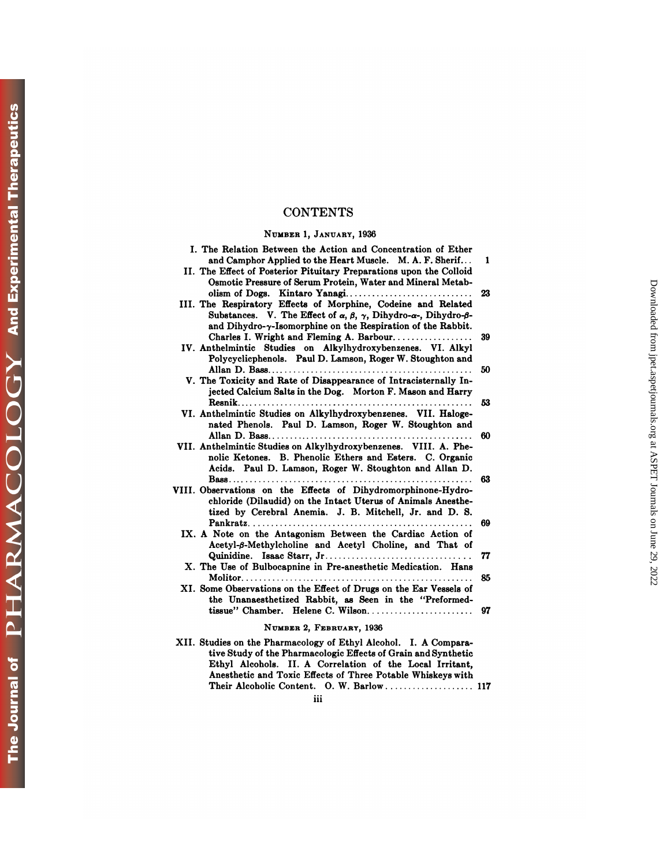## **CONTENTS**

## NUMBER 1, **JANUARY,** <sup>1936</sup>

| <b>CONTENTS</b>                                                                                                                                                                                                                                                                |          |
|--------------------------------------------------------------------------------------------------------------------------------------------------------------------------------------------------------------------------------------------------------------------------------|----------|
| NUMBER 1, JANUARY, 1936                                                                                                                                                                                                                                                        |          |
| I. The Relation Between the Action and Concentration of Ether<br>and Camphor Applied to the Heart Muscle. M. A. F. Sherif<br>II. The Effect of Posterior Pituitary Preparations upon the Colloid<br>Osmotic Pressure of Serum Protein, Water and Mineral Metab-                | 1        |
| olism of Dogs. Kintaro Yanagi<br>III. The Respiratory Effects of Morphine, Codeine and Related<br>Substances. V. The Effect of $\alpha$ , $\beta$ , $\gamma$ , Dihydro- $\alpha$ -, Dihydro- $\beta$ -<br>and Dihydro- $\gamma$ -Isomorphine on the Respiration of the Rabbit. | 23       |
| Charles I. Wright and Fleming A. Barbour<br>IV. Anthelmintic Studies on Alkylhydroxybenzenes. VI. Alkyl<br>Polycyclicphenols. Paul D. Lamson, Roger W. Stoughton and                                                                                                           | 39       |
| V. The Toxicity and Rate of Disappearance of Intracisternally In-<br>jected Calcium Salts in the Dog. Morton F. Mason and Harry                                                                                                                                                | 50<br>53 |
| VI. Anthelmintic Studies on Alkylhydroxybenzenes. VII. Haloge-<br>nated Phenols. Paul D. Lamson, Roger W. Stoughton and                                                                                                                                                        | 60       |
| VII. Anthelmintic Studies on Alkylhydroxybenzenes. VIII. A. Phe-<br>nolic Ketones. B. Phenolic Ethers and Esters. C. Organic<br>Acids. Paul D. Lamson, Roger W. Stoughton and Allan D.                                                                                         | 63       |
| VIII. Observations on the Effects of Dihydromorphinone-Hydro-<br>chloride (Dilaudid) on the Intact Uterus of Animals Anesthe-<br>tized by Cerebral Anemia. J. B. Mitchell, Jr. and D. S.                                                                                       | 69       |
| IX. A Note on the Antagonism Between the Cardiac Action of<br>Acetyl-B-Methylcholine and Acetyl Choline, and That of                                                                                                                                                           | 77       |
| X. The Use of Bulbocapnine in Pre-anesthetic Medication. Hans                                                                                                                                                                                                                  | 85       |
| XI. Some Observations on the Effect of Drugs on the Ear Vessels of<br>the Unanaesthetized Rabbit, as Seen in the "Preformed-<br>tissue" Chamber. Helene C. Wilson                                                                                                              | 97       |
| NUMBER 2, FEBRUARY, 1936                                                                                                                                                                                                                                                       |          |
| XII. Studies on the Pharmacology of Ethyl Alcohol. I. A Compara-<br>tive Study of the Pharmacologic Effects of Grain and Synthetic<br>Ethyl Alcohols. II. A Correlation of the Local Irritant,                                                                                 |          |

| NUMBER 2, FEBRUARY, 1936                                                                                                                                                                                                                                      |
|---------------------------------------------------------------------------------------------------------------------------------------------------------------------------------------------------------------------------------------------------------------|
| XII. Studies on the Pharmacology of Ethyl Alcohol. I. A Compara-<br>tive Study of the Pharmacologic Effects of Grain and Synthetic<br>Ethyl Alcohols. II. A Correlation of the Local Irritant.<br>Anesthetic and Toxic Effects of Three Potable Whiskeys with |
| $\cdots$<br>m                                                                                                                                                                                                                                                 |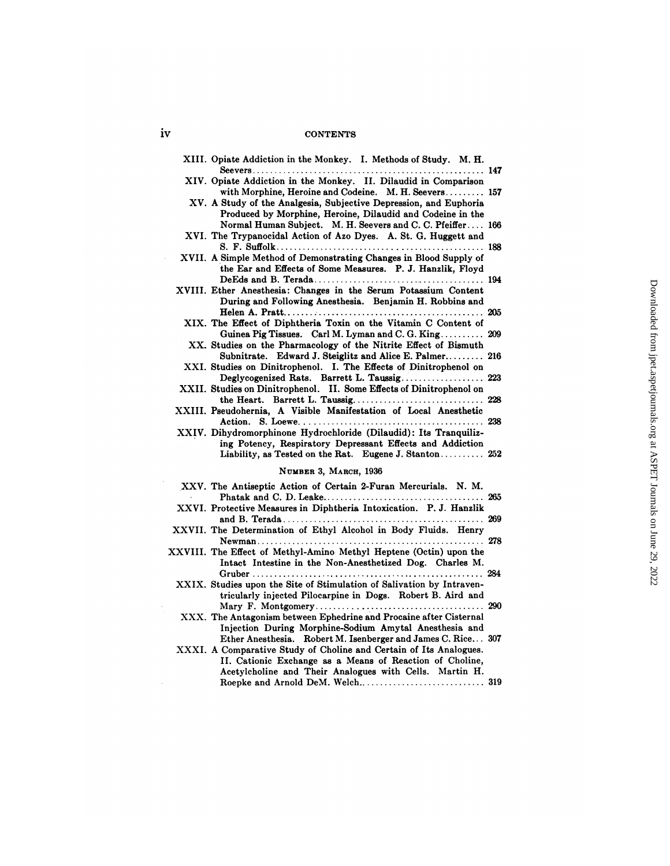## iv CONTENTS

| iv | <b>CONTENTS</b>                                                                                                                                                                               |     |
|----|-----------------------------------------------------------------------------------------------------------------------------------------------------------------------------------------------|-----|
|    | XIII. Opiate Addiction in the Monkey. I. Methods of Study. M. H.                                                                                                                              |     |
|    | XIV. Opiate Addiction in the Monkey. II. Dilaudid in Comparison<br>with Morphine, Heroine and Codeine. M. H. Seevers 157                                                                      |     |
|    | XV. A Study of the Analgesia, Subjective Depression, and Euphoria<br>Produced by Morphine, Heroine, Dilaudid and Codeine in the<br>Normal Human Subject. M. H. Seevers and C. C. Pfeiffer 166 |     |
|    | XVI. The Trypanocidal Action of Azo Dyes. A. St. G. Huggett and                                                                                                                               |     |
|    | XVII. A Simple Method of Demonstrating Changes in Blood Supply of<br>the Ear and Effects of Some Measures. P. J. Hanzlik, Floyd                                                               |     |
|    | XVIII. Ether Anesthesia: Changes in the Serum Potassium Content<br>During and Following Anesthesia. Benjamin H. Robbins and                                                                   |     |
|    | XIX. The Effect of Diphtheria Toxin on the Vitamin C Content of<br>Guinea Pig Tissues. Carl M. Lyman and C. G. King 209                                                                       |     |
|    | XX. Studies on the Pharmacology of the Nitrite Effect of Bismuth<br>Subnitrate. Edward J. Steiglitz and Alice E. Palmer 216                                                                   |     |
|    | XXI. Studies on Dinitrophenol. I. The Effects of Dinitrophenol on<br>Deglycogenized Rats. Barrett L. Taussig 223                                                                              |     |
|    | XXII. Studies on Dinitrophenol. II. Some Effects of Dinitrophenol on                                                                                                                          |     |
|    | XXIII. Pseudohernia, A Visible Manifestation of Local Anesthetic                                                                                                                              |     |
|    | XXIV. Dihydromorphinone Hydrochloride (Dilaudid): Its Tranquiliz-<br>ing Potency, Respiratory Depressant Effects and Addiction<br>Liability, as Tested on the Rat. Eugene J. Stanton 252      |     |
|    | NUMBER 3, MARCH, 1936                                                                                                                                                                         |     |
|    | XXV. The Antiseptic Action of Certain 2-Furan Mercurials. N. M.                                                                                                                               |     |
|    | XXVI. Protective Measures in Diphtheria Intoxication. P. J. Hanzlik                                                                                                                           |     |
|    | XXVII. The Determination of Ethyl Alcohol in Body Fluids. Henry                                                                                                                               |     |
|    | XXVIII. The Effect of Methyl-Amino Methyl Heptene (Octin) upon the<br>Intact Intestine in the Non-Anesthetized Dog. Charles M.                                                                |     |
|    | XXIX. Studies upon the Site of Stimulation of Salivation by Intraven-<br>tricularly injected Pilocarpine in Dogs. Robert B. Aird and                                                          | 290 |
|    | XXX. The Antagonism between Ephedrine and Procaine after Cisternal<br>Injection During Morphine-Sodium Amytal Anesthesia and<br>Ether Anesthesia. Robert M. Isenberger and James C. Rice 307  |     |
|    | XXXI. A Comparative Study of Choline and Certain of Its Analogues.<br>II. Cationic Exchange as a Means of Reaction of Choline,                                                                |     |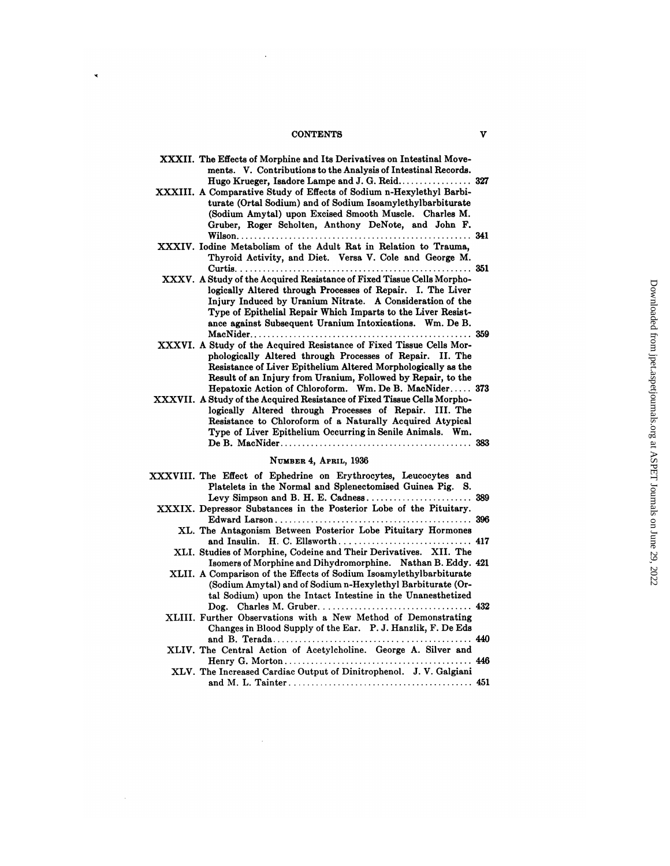## CONTENTS V

 $\ddot{\phantom{1}}$ 

 $\ddot{\phantom{1}}$ 

| <b>CONTENTS</b>                                                                                                                                                                                                                                                                                                                                                                                                                                    | v |
|----------------------------------------------------------------------------------------------------------------------------------------------------------------------------------------------------------------------------------------------------------------------------------------------------------------------------------------------------------------------------------------------------------------------------------------------------|---|
| XXXII. The Effects of Morphine and Its Derivatives on Intestinal Move-<br>ments. V. Contributions to the Analysis of Intestinal Records.<br>Hugo Krueger, Isadore Lampe and J. G. Reid 327<br>XXXIII. A Comparative Study of Effects of Sodium n-Hexylethyl Barbi-<br>turate (Ortal Sodium) and of Sodium Isoamylethylbarbiturate<br>(Sodium Amytal) upon Excised Smooth Muscle. Charles M.<br>Gruber, Roger Scholten, Anthony DeNote, and John F. |   |
| XXXIV. Iodine Metabolism of the Adult Rat in Relation to Trauma,<br>Thyroid Activity, and Diet. Versa V. Cole and George M.                                                                                                                                                                                                                                                                                                                        |   |
| XXXV. A Study of the Acquired Resistance of Fixed Tissue Cells Morpho-<br>logically Altered through Processes of Repair. I. The Liver<br>Injury Induced by Uranium Nitrate. A Consideration of the<br>Type of Epithelial Repair Which Imparts to the Liver Resist-<br>ance against Subsequent Uranium Intoxications. Wm. De B.                                                                                                                     |   |
| XXXVI. A Study of the Acquired Resistance of Fixed Tissue Cells Mor-<br>phologically Altered through Processes of Repair. II. The<br>Resistance of Liver Epithelium Altered Morphologically as the<br>Result of an Injury from Uranium, Followed by Repair, to the                                                                                                                                                                                 |   |
| Hepatoxic Action of Chloroform. Wm. De B. MacNider 373<br>XXXVII. A Study of the Acquired Resistance of Fixed Tissue Cells Morpho-<br>logically Altered through Processes of Repair. III. The<br>Resistance to Chloroform of a Naturally Acquired Atypical<br>Type of Liver Epithelium Occurring in Senile Animals. Wm.                                                                                                                            |   |
| NUMBER 4, APRIL, 1936                                                                                                                                                                                                                                                                                                                                                                                                                              |   |
| XXXVIII. The Effect of Ephedrine on Erythrocytes, Leucocytes and<br>Platelets in the Normal and Splenectomised Guinea Pig. S.                                                                                                                                                                                                                                                                                                                      |   |
| XXXIX. Depressor Substances in the Posterior Lobe of the Pituitary.                                                                                                                                                                                                                                                                                                                                                                                |   |
| XL. The Antagonism Between Posterior Lobe Pituitary Hormones                                                                                                                                                                                                                                                                                                                                                                                       |   |
| XLI. Studies of Morphine, Codeine and Their Derivatives. XII. The<br>Isomers of Morphine and Dihydromorphine. Nathan B. Eddy. 421                                                                                                                                                                                                                                                                                                                  |   |
| XLII. A Comparison of the Effects of Sodium Isoamylethylbarbiturate<br>(Sodium Amytal) and of Sodium n-Hexylethyl Barbiturate (Or-<br>tal Sodium) upon the Intact Intestine in the Unanesthetized                                                                                                                                                                                                                                                  |   |
| XLIII. Further Observations with a New Method of Demonstrating<br>Changes in Blood Supply of the Ear. P. J. Hanzlik, F. De Eds                                                                                                                                                                                                                                                                                                                     |   |
| XLIV. The Central Action of Acetylcholine. George A. Silver and                                                                                                                                                                                                                                                                                                                                                                                    |   |
| XLV. The Increased Cardiac Output of Dinitrophenol. J. V. Galgiani                                                                                                                                                                                                                                                                                                                                                                                 |   |
|                                                                                                                                                                                                                                                                                                                                                                                                                                                    |   |

 $\hat{\beta}$ 

 $\sim$   $\sim$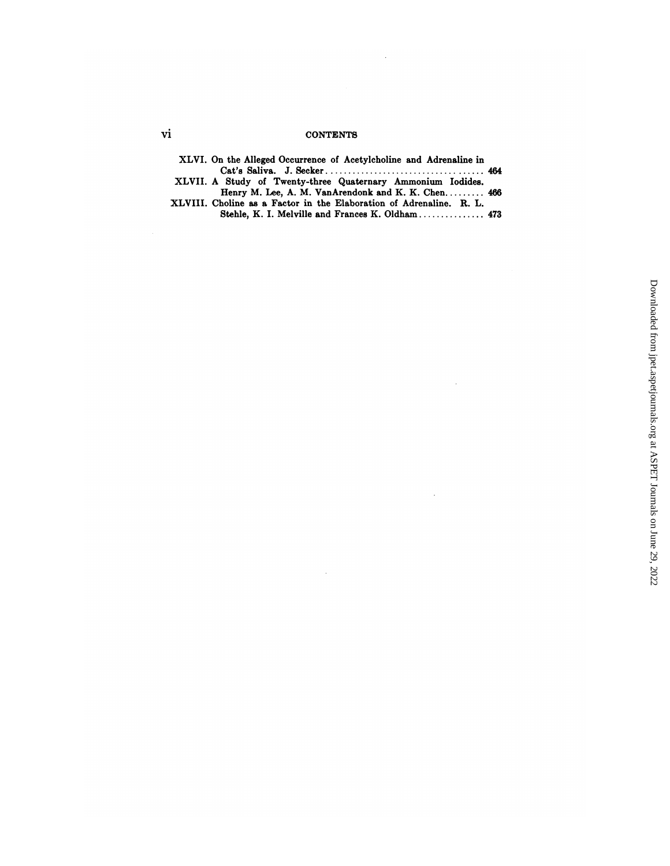# vi CONTENTS

 $\bar{\gamma}$ 

 $\sim$ 

 $\hat{\mathcal{L}}$ 

| 'n | <b>CONTENTS</b>                                                     |  |
|----|---------------------------------------------------------------------|--|
|    | XLVI. On the Alleged Occurrence of Acetylcholine and Adrenaline in  |  |
|    |                                                                     |  |
|    | XLVII. A Study of Twenty-three Quaternary Ammonium Iodides.         |  |
|    | Henry M. Lee, A. M. VanArendonk and K. K. Chen 466                  |  |
|    | XLVIII. Choline as a Factor in the Elaboration of Adrenaline. R. L. |  |
|    | Stehle, K. I. Melville and Frances K. Oldham 473                    |  |

 $\sim$   $\sim$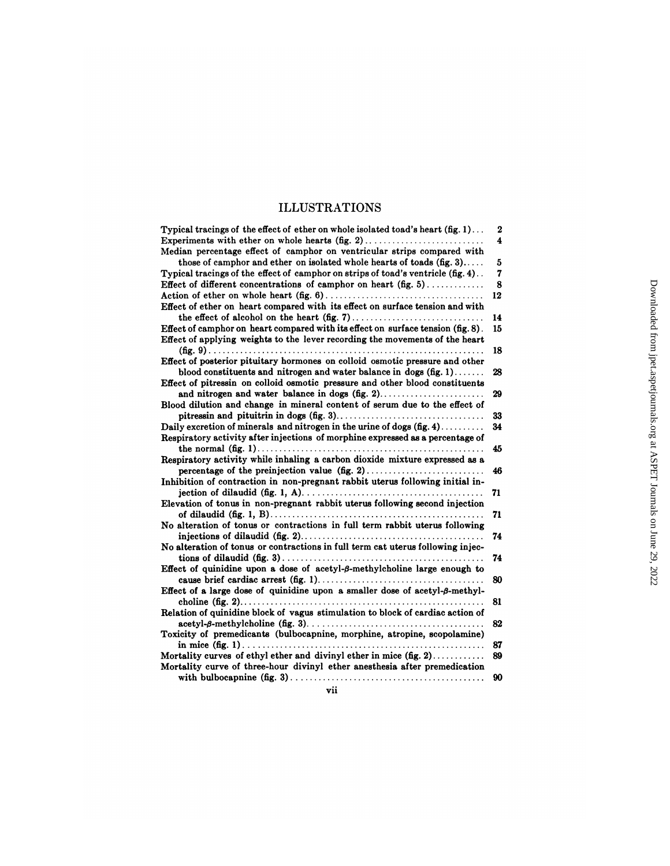# ILLUSTRATIONS

| <b>ILLUSTRATIONS</b>                                                                       |                         |                                                                           |
|--------------------------------------------------------------------------------------------|-------------------------|---------------------------------------------------------------------------|
| Typical tracings of the effect of ether on whole isolated toad's heart $(fig. 1) \dots$    | $\boldsymbol{2}$        |                                                                           |
| Experiments with ether on whole hearts (fig. 2)                                            | $\overline{\mathbf{4}}$ |                                                                           |
| Median percentage effect of camphor on ventricular strips compared with                    |                         |                                                                           |
| those of camphor and ether on isolated whole hearts of toads $(fig, 3)$                    | 5                       |                                                                           |
| Typical tracings of the effect of camphor on strips of toad's ventricle (fig. 4).          | 7                       |                                                                           |
| Effect of different concentrations of camphor on heart $(fig. 5)$                          | 8                       |                                                                           |
|                                                                                            | 12                      |                                                                           |
| Effect of ether on heart compared with its effect on surface tension and with              |                         |                                                                           |
|                                                                                            | 14                      |                                                                           |
| Effect of camphor on heart compared with its effect on surface tension (fig. 8).           | 15                      |                                                                           |
| Effect of applying weights to the lever recording the movements of the heart               | 18                      |                                                                           |
| Effect of posterior pituitary hormones on colloid osmotic pressure and other               |                         |                                                                           |
| blood constituents and nitrogen and water balance in dogs $(fig, 1)$                       | 28                      |                                                                           |
| Effect of pitressin on colloid osmotic pressure and other blood constituents               |                         |                                                                           |
|                                                                                            | 29                      |                                                                           |
| Blood dilution and change in mineral content of serum due to the effect of                 |                         |                                                                           |
|                                                                                            | 33                      | Downloaded from jpet.aspetjournals.org at ASPET Journals on June 29, 2022 |
| Daily excretion of minerals and nitrogen in the urine of dogs $(fig. 4)$                   | 34                      |                                                                           |
| Respiratory activity after injections of morphine expressed as a percentage of             |                         |                                                                           |
|                                                                                            | 45                      |                                                                           |
| Respiratory activity while inhaling a carbon dioxide mixture expressed as a                |                         |                                                                           |
| percentage of the preinjection value $(f_1g_1, 2), \ldots, \ldots, \ldots, \ldots, \ldots$ | 46                      |                                                                           |
| Inhibition of contraction in non-pregnant rabbit uterus following initial in-              |                         |                                                                           |
|                                                                                            | 71                      |                                                                           |
| Elevation of tonus in non-pregnant rabbit uterus following second injection                | 71                      |                                                                           |
| No alteration of tonus or contractions in full term rabbit uterus following                |                         |                                                                           |
|                                                                                            | 74                      |                                                                           |
| No alteration of tonus or contractions in full term cat uterus following injec-            |                         |                                                                           |
|                                                                                            | 74                      |                                                                           |
| Effect of quinidine upon a dose of acetyl- $\beta$ -methylcholine large enough to          |                         |                                                                           |
|                                                                                            | 80                      |                                                                           |
| Effect of a large dose of quinidine upon a smaller dose of acetyl- $\beta$ -methyl-        |                         |                                                                           |
|                                                                                            | 81                      |                                                                           |
| Relation of quinidine block of vagus stimulation to block of cardiac action of             |                         |                                                                           |
|                                                                                            | 82                      |                                                                           |
| Toxicity of premedicants (bulbocapnine, morphine, atropine, scopolamine)                   |                         |                                                                           |
| Mortality curves of ethyl ether and divinyl ether in mice (fig. 2)                         | -87<br>89               |                                                                           |
| Mortality curve of three-hour divinyl ether anesthesia after premedication                 |                         |                                                                           |
|                                                                                            | 90                      |                                                                           |
| vii                                                                                        |                         |                                                                           |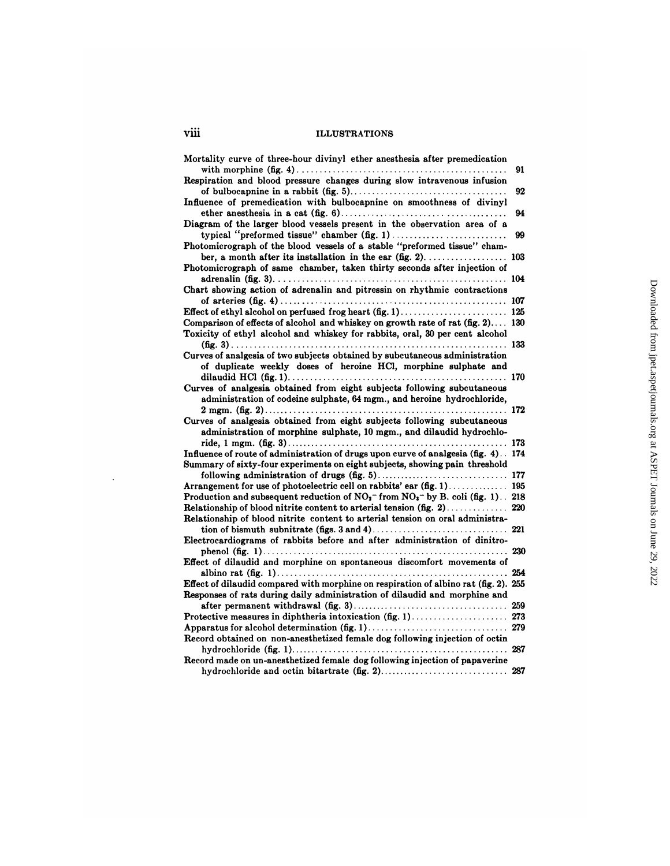| viii<br><b>ILLUSTRATIONS</b>                                                                                                                                                          |     |
|---------------------------------------------------------------------------------------------------------------------------------------------------------------------------------------|-----|
|                                                                                                                                                                                       |     |
| Mortality curve of three-hour divinyl ether anesthesia after premedication                                                                                                            | 91  |
| Respiration and blood pressure changes during slow intravenous infusion<br>Influence of premedication with bulbocapnine on smoothness of divinyl                                      | 92  |
| Diagram of the larger blood vessels present in the observation area of a                                                                                                              | 94  |
| Photomicrograph of the blood vessels of a stable "preformed tissue" cham-                                                                                                             | 99  |
| Photomicrograph of same chamber, taken thirty seconds after injection of                                                                                                              |     |
| Chart showing action of adrenalin and pitressin on rhythmic contractions                                                                                                              |     |
|                                                                                                                                                                                       |     |
| Comparison of effects of alcohol and whiskey on growth rate of rat (fig. 2) 130<br>Toxicity of ethyl alcohol and whiskey for rabbits, oral, 30 per cent alcohol                       |     |
| Curves of analgesia of two subjects obtained by subcutaneous administration                                                                                                           |     |
| of duplicate weekly doses of heroine HCl, morphine sulphate and                                                                                                                       |     |
| Curves of analgesia obtained from eight subjects following subcutaneous<br>administration of codeine sulphate, 64 mgm., and heroine hydrochloride,                                    |     |
| Curves of analgesia obtained from eight subjects following subcutaneous                                                                                                               |     |
| administration of morphine sulphate, 10 mgm., and dilaudid hydrochlo-                                                                                                                 |     |
| Influence of route of administration of drugs upon curve of analgesia (fig. 4). 174<br>Summary of sixty-four experiments on eight subjects, showing pain threshold                    |     |
|                                                                                                                                                                                       |     |
| Arrangement for use of photoelectric cell on rabbits' ear (fig. 1) 195<br>Production and subsequent reduction of $NO_2$ <sup>-</sup> from $NO_3$ <sup>-</sup> by B. coli (fig. 1) 218 |     |
| Relationship of blood nitrite content to arterial tension on oral administra-                                                                                                         |     |
| Electrocardiograms of rabbits before and after administration of dinitro-                                                                                                             |     |
| Effect of dilaudid and morphine on spontaneous discomfort movements of                                                                                                                |     |
| Effect of dilaudid compared with morphine on respiration of albino rat (fig. 2). 255<br>Responses of rats during daily administration of dilaudid and morphine and                    |     |
|                                                                                                                                                                                       | 259 |
|                                                                                                                                                                                       |     |
| Record obtained on non-anesthetized female dog following injection of octin                                                                                                           |     |
| Record made on un-anesthetized female dog following injection of papaverine                                                                                                           |     |
|                                                                                                                                                                                       |     |

 $\mathcal{L}^{\text{max}}_{\text{max}}$  and  $\mathcal{L}^{\text{max}}_{\text{max}}$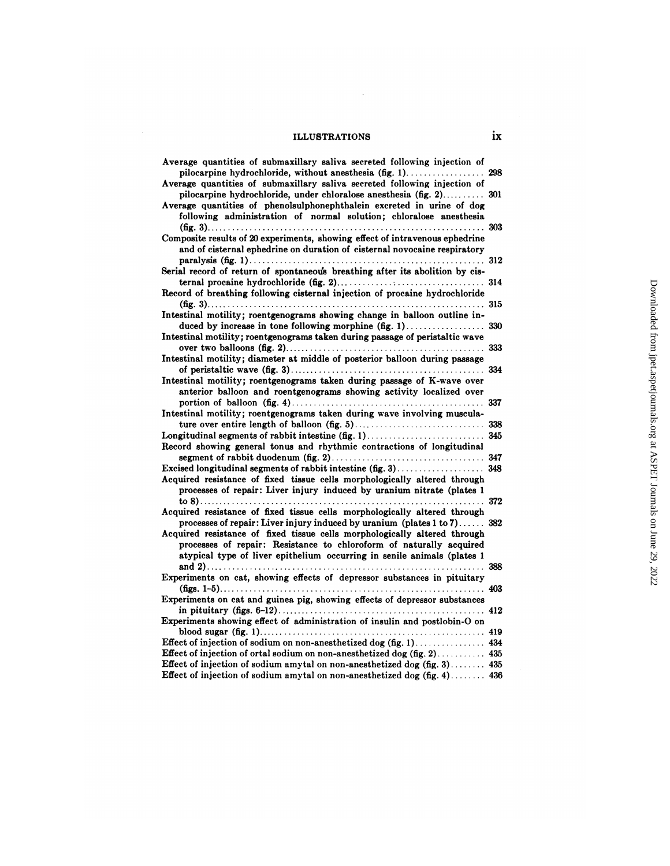# ILLUSTRATIONS ix

 $\mathcal{L}^{\text{max}}_{\text{max}}$ 

| <b>ILLUSTRATIONS</b>                                                                                                                                                                                                                                                                             | ix  |
|--------------------------------------------------------------------------------------------------------------------------------------------------------------------------------------------------------------------------------------------------------------------------------------------------|-----|
| Average quantities of submaxillary saliva secreted following injection of<br>pilocarpine hydrochloride, without anesthesia (fig. 1).                                                                                                                                                             | 298 |
| Average quantities of submaxillary saliva secreted following injection of<br>pilocarpine hydrochloride, under chloralose anesthesia (fig. 2) 301<br>Average quantities of phenolsulphonephthalein excreted in urine of dog<br>following administration of normal solution; chloralose anesthesia |     |
| Composite results of 20 experiments, showing effect of intravenous ephedrine<br>and of cisternal ephedrine on duration of cisternal novocaine respiratory                                                                                                                                        |     |
| Serial record of return of spontaneous breathing after its abolition by cis-                                                                                                                                                                                                                     |     |
| Record of breathing following cisternal injection of procaine hydrochloride                                                                                                                                                                                                                      |     |
| Intestinal motility; roentgenograms showing change in balloon outline in-                                                                                                                                                                                                                        |     |
| duced by increase in tone following morphine $(f_1, 1), \ldots, f_k, \ldots, f_k$ 330<br>Intestinal motility; roentgenograms taken during passage of peristaltic wave                                                                                                                            |     |
| Intestinal motility; diameter at middle of posterior balloon during passage                                                                                                                                                                                                                      |     |
| Intestinal motility; roentgenograms taken during passage of K-wave over<br>anterior balloon and roentgenograms showing activity localized over                                                                                                                                                   |     |
| Intestinal motility; roentgenograms taken during wave involving muscula-                                                                                                                                                                                                                         |     |
|                                                                                                                                                                                                                                                                                                  |     |
| Record showing general tonus and rhythmic contractions of longitudinal                                                                                                                                                                                                                           |     |
|                                                                                                                                                                                                                                                                                                  |     |
| Acquired resistance of fixed tissue cells morphologically altered through<br>processes of repair: Liver injury induced by uranium nitrate (plates 1                                                                                                                                              |     |
| Acquired resistance of fixed tissue cells morphologically altered through                                                                                                                                                                                                                        | 372 |
| processes of repair: Liver injury induced by uranium (plates $1$ to $7$ ) 382                                                                                                                                                                                                                    |     |
| Acquired resistance of fixed tissue cells morphologically altered through<br>processes of repair: Resistance to chloroform of naturally acquired<br>atypical type of liver epithelium occurring in senile animals (plates 1                                                                      |     |
|                                                                                                                                                                                                                                                                                                  |     |
| Experiments on cat, showing effects of depressor substances in pituitary                                                                                                                                                                                                                         |     |
| Experiments on cat and guinea pig, showing effects of depressor substances                                                                                                                                                                                                                       |     |
| Experiments showing effect of administration of insulin and postlobin-O on                                                                                                                                                                                                                       |     |
| Effect of injection of sodium on non-anesthetized dog (fig. 1) 434                                                                                                                                                                                                                               |     |
| Effect of injection of ortal sodium on non-anesthetized dog (fig. 2) 435                                                                                                                                                                                                                         |     |
| Effect of injection of sodium amytal on non-anesthetized dog (fig. 3) 435                                                                                                                                                                                                                        |     |
| Effect of injection of sodium amytal on non-anesthetized dog (fig. 4) 436                                                                                                                                                                                                                        |     |